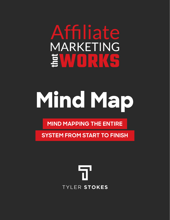#### Affiliate MARKETING <u>ind</u> **TELE**

# **Mind Map**

**MIND MAPPING THE ENTIRE** 

**SYSTEM FROM START TO FINISH**

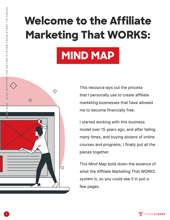# **Welcome to the Affiliate Marketing That WORKS:**





This resource lays out the process that I personally use to create affiliate marketing businesses that have allowed me to become financially free.

I started working with this business model over 15 years ago, and after failing many times, and buying dozens of online courses and programs, I finally put all the pieces together.

This Mind Map boils down the essence of what the Affiliate Marketing That WORKS system is, so you could see it in just a few pages.



**2**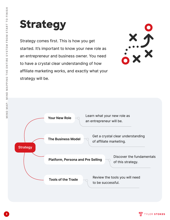#### **Strategy**

Strategy comes first. This is how you get started. It's important to know your new role as an entrepreneur and business owner. You need to have a crystal clear understanding of how affiliate marketing works, and exactly what your strategy will be.



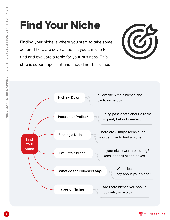# **Find Your Niche**

Finding your niche is where you start to take some action. There are several tactics you can use to find and evaluate a topic for your business. This step is super important and should not be rushed.





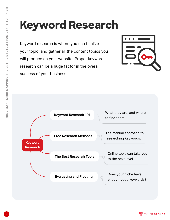#### **Keyword Research**

Keyword research is where you can finalize your topic, and gather all the content topics you will produce on your website. Proper keyword research can be a huge factor in the overall success of your business.



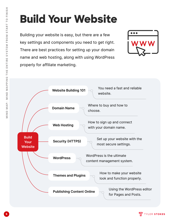## **Build Your Website**

Building your website is easy, but there are a few key settings and components you need to get right. There are best practices for setting up your domain name and web hosting, along with using WordPress properly for affiliate marketing.





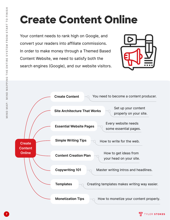## **Create Content Online**

Your content needs to rank high on Google, and convert your readers into affiliate commissions. In order to make money through a Themed Based Content Website, we need to satisfy both the search engines (Google), and our website visitors.



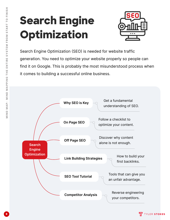## **Search Engine Optimization**



Search Engine Optimization (SEO) is needed for website traffic generation. You need to optimize your website properly so people can find it on Google. This is probably the most misunderstood process when it comes to building a successful online business.